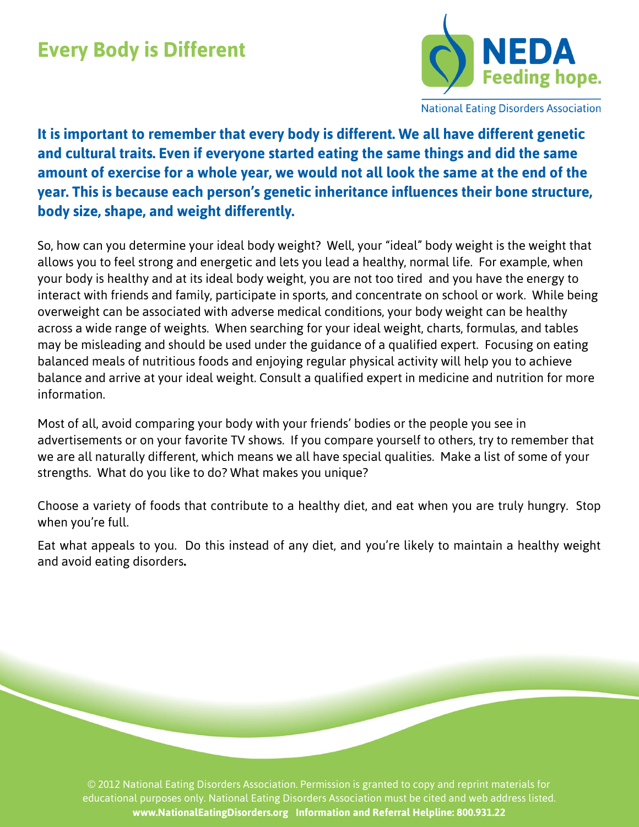## **Every Body is Different**



**National Eating Disorders Association** 

**It is important to remember that every body is different. We all have different genetic and cultural traits. Even if everyone started eating the same things and did the same amount of exercise for a whole year, we would not all look the same at the end of the year. This is because each person's genetic inheritance influences their bone structure, body size, shape, and weight differently.** 

So, how can you determine your ideal body weight? Well, your "ideal" body weight is the weight that allows you to feel strong and energetic and lets you lead a healthy, normal life. For example, when your body is healthy and at its ideal body weight, you are not too tired and you have the energy to interact with friends and family, participate in sports, and concentrate on school or work. While being overweight can be associated with adverse medical conditions, your body weight can be healthy across a wide range of weights. When searching for your ideal weight, charts, formulas, and tables may be misleading and should be used under the guidance of a qualified expert. Focusing on eating balanced meals of nutritious foods and enjoying regular physical activity will help you to achieve balance and arrive at your ideal weight. Consult a qualified expert in medicine and nutrition for more information.

Most of all, avoid comparing your body with your friends' bodies or the people you see in advertisements or on your favorite TV shows. If you compare yourself to others, try to remember that we are all naturally different, which means we all have special qualities. Make a list of some of your strengths. What do you like to do? What makes you unique?

Choose a variety of foods that contribute to a healthy diet, and eat when you are truly hungry. Stop when you're full.

Eat what appeals to you. Do this instead of any diet, and you're likely to maintain a healthy weight and avoid eating disorders**.**

© 2012 National Eating Disorders Association. Permission is granted to copy and reprint materials for educational purposes only. National Eating Disorders Association must be cited and web address listed. **www.NationalEatingDisorders.org Information and Referral Helpline: 800.931.22**